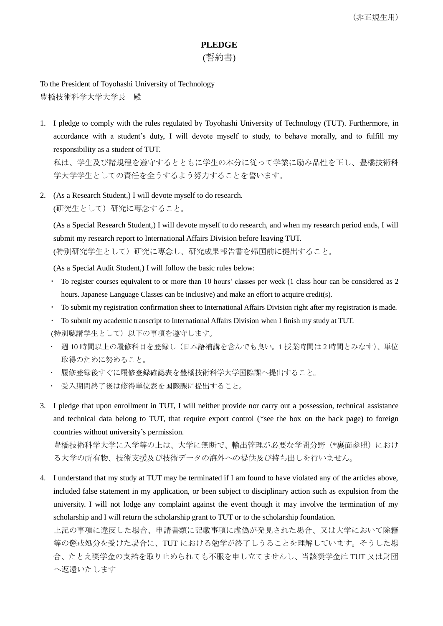## **PLEDGE**

## (誓約書)

To the President of Toyohashi University of Technology 豊橋技術科学大学大学長 殿

1. I pledge to comply with the rules regulated by Toyohashi University of Technology (TUT). Furthermore, in accordance with a student's duty, I will devote myself to study, to behave morally, and to fulfill my responsibility as a student of TUT.

私は、学生及び諸規程を遵守するとともに学生の本分に従って学業に励み品性を正し、豊橋技術科 学大学学生としての責任を全うするよう努力することを誓います。

2. (As a Research Student,) I will devote myself to do research. (研究生として)研究に専念すること。

(As a Special Research Student,) I will devote myself to do research, and when my research period ends, I will submit my research report to International Affairs Division before leaving TUT. (特別研究学生として)研究に専念し、研究成果報告書を帰国前に提出すること。

(As a Special Audit Student,) I will follow the basic rules below:

- To register courses equivalent to or more than 10 hours' classes per week (1 class hour can be considered as 2 hours. Japanese Language Classes can be inclusive) and make an effort to acquire credit(s).
- To submit my registration confirmation sheet to International Affairs Division right after my registration is made.
- To submit my academic transcript to International Affairs Division when I finish my study at TUT. (特別聴講学生として)以下の事項を遵守します。
- 週 10 時間以上の履修科目を登録し(日本語補講を含んでも良い。1 授業時間は 2 時間とみなす)、単位 取得のために努めること。
- 履修登録後すぐに履修登録確認表を豊橋技術科学大学国際課へ提出すること。
- 受入期間終了後は修得単位表を国際課に提出すること。
- 3. I pledge that upon enrollment in TUT, I will neither provide nor carry out a possession, technical assistance and technical data belong to TUT, that require export control (\*see the box on the back page) to foreign countries without university's permission.

豊橋技術科学大学に入学等の上は、大学に無断で、輸出管理が必要な学問分野(\*裏面参照)におけ る大学の所有物、技術支援及び技術データの海外への提供及び持ち出しを行いません。

4. I understand that my study at TUT may be terminated if I am found to have violated any of the articles above, included false statement in my application, or been subject to disciplinary action such as expulsion from the university. I will not lodge any complaint against the event though it may involve the termination of my scholarship and I will return the scholarship grant to TUT or to the scholarship foundation. 上記の事項に違反した場合、申請書類に記載事項に虚偽が発見された場合、又は大学において除籍

等の懲戒処分を受けた場合に、TUT における勉学が終了しうることを理解しています。そうした場 合、たとえ奨学金の支給を取り止められても不服を申し立てませんし、当該奨学金は TUT 又は財団 へ返還いたします